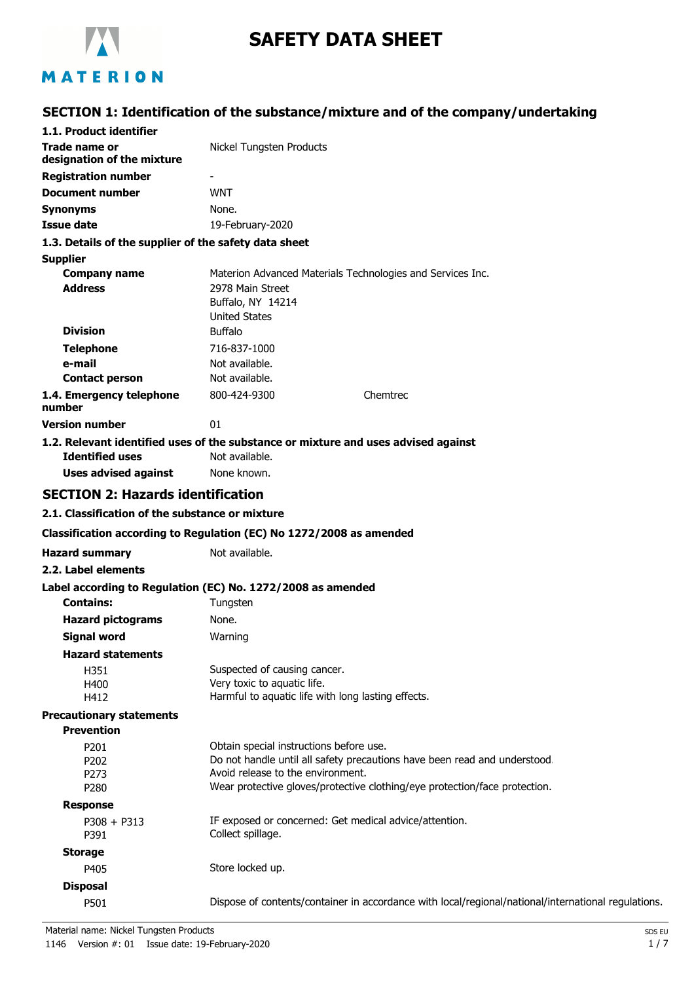

# **SAFETY DATA SHEET**

# MATERION

# **SECTION 1: Identification of the substance/mixture and of the company/undertaking**

| 1.1. Product identifier                               |                                                                                                                |
|-------------------------------------------------------|----------------------------------------------------------------------------------------------------------------|
| Trade name or<br>designation of the mixture           | Nickel Tungsten Products                                                                                       |
| <b>Registration number</b>                            |                                                                                                                |
| <b>Document number</b>                                | <b>WNT</b>                                                                                                     |
| <b>Synonyms</b>                                       | None.                                                                                                          |
| <b>Issue date</b>                                     | 19-February-2020                                                                                               |
| 1.3. Details of the supplier of the safety data sheet |                                                                                                                |
| <b>Supplier</b>                                       |                                                                                                                |
| <b>Company name</b>                                   | Materion Advanced Materials Technologies and Services Inc.                                                     |
| <b>Address</b>                                        | 2978 Main Street                                                                                               |
|                                                       | Buffalo, NY 14214                                                                                              |
| <b>Division</b>                                       | <b>United States</b><br><b>Buffalo</b>                                                                         |
| <b>Telephone</b>                                      | 716-837-1000                                                                                                   |
| e-mail                                                | Not available.                                                                                                 |
| <b>Contact person</b>                                 | Not available.                                                                                                 |
| 1.4. Emergency telephone                              | 800-424-9300<br>Chemtrec                                                                                       |
| number                                                |                                                                                                                |
| <b>Version number</b>                                 | 01                                                                                                             |
|                                                       | 1.2. Relevant identified uses of the substance or mixture and uses advised against                             |
| <b>Identified uses</b>                                | Not available.                                                                                                 |
| <b>Uses advised against</b>                           | None known.                                                                                                    |
| <b>SECTION 2: Hazards identification</b>              |                                                                                                                |
| 2.1. Classification of the substance or mixture       |                                                                                                                |
|                                                       | Classification according to Regulation (EC) No 1272/2008 as amended                                            |
| <b>Hazard summary</b>                                 | Not available.                                                                                                 |
| 2.2. Label elements                                   |                                                                                                                |
|                                                       | Label according to Regulation (EC) No. 1272/2008 as amended                                                    |
| <b>Contains:</b>                                      | Tungsten                                                                                                       |
| <b>Hazard pictograms</b>                              | None.                                                                                                          |
| Signal word                                           | Warning                                                                                                        |
| <b>Hazard statements</b>                              |                                                                                                                |
| H351                                                  | Suspected of causing cancer.                                                                                   |
| H400                                                  | Very toxic to aquatic life.                                                                                    |
| H412                                                  | Harmful to aquatic life with long lasting effects.                                                             |
| <b>Precautionary statements</b>                       |                                                                                                                |
| <b>Prevention</b>                                     |                                                                                                                |
| P201                                                  | Obtain special instructions before use.                                                                        |
| P202<br>P273                                          | Do not handle until all safety precautions have been read and understood.<br>Avoid release to the environment. |
| P280                                                  | Wear protective gloves/protective clothing/eye protection/face protection.                                     |
| <b>Response</b>                                       |                                                                                                                |
| $P308 + P313$                                         | IF exposed or concerned: Get medical advice/attention.                                                         |
| P391                                                  | Collect spillage.                                                                                              |
| <b>Storage</b>                                        |                                                                                                                |
| P405                                                  | Store locked up.                                                                                               |
| <b>Disposal</b>                                       |                                                                                                                |
| P501                                                  | Dispose of contents/container in accordance with local/regional/national/international regulations.            |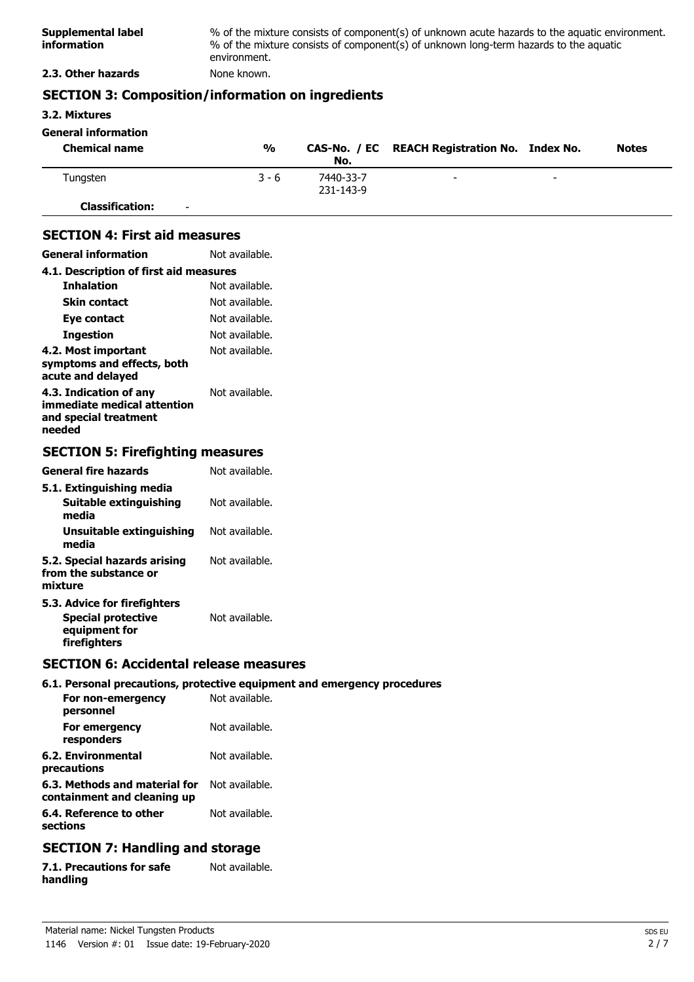| Supplemental label<br><i>information</i> | % of the mixture consists of component(s) of unknown acute hazards to the aquatic environment.<br>% of the mixture consists of component(s) of unknown long-term hazards to the aguatic<br>environment. |
|------------------------------------------|---------------------------------------------------------------------------------------------------------------------------------------------------------------------------------------------------------|
| 2.3. Other hazards                       | None known.                                                                                                                                                                                             |

### **SECTION 3: Composition/information on ingredients**

**3.2. Mixtures**

| <b>General information</b>                         |               |                        |                                               |   |              |
|----------------------------------------------------|---------------|------------------------|-----------------------------------------------|---|--------------|
| <b>Chemical name</b>                               | $\frac{0}{0}$ | No.                    | CAS-No. / EC REACH Registration No. Index No. |   | <b>Notes</b> |
| Tungsten                                           | $3 - 6$       | 7440-33-7<br>231-143-9 | -                                             | - |              |
| <b>Classification:</b><br>$\overline{\phantom{0}}$ |               |                        |                                               |   |              |

### **SECTION 4: First aid measures**

| <b>General information</b>                                                               | Not available. |
|------------------------------------------------------------------------------------------|----------------|
| 4.1. Description of first aid measures                                                   |                |
| <b>Inhalation</b>                                                                        | Not available. |
| Skin contact                                                                             | Not available. |
| Eye contact                                                                              | Not available. |
| Ingestion                                                                                | Not available. |
| 4.2. Most important<br>symptoms and effects, both<br>acute and delayed                   | Not available. |
| 4.3. Indication of any<br>immediate medical attention<br>and special treatment<br>needed | Not available. |

# **SECTION 5: Firefighting measures**

| General fire hazards                                                                       | Not available. |
|--------------------------------------------------------------------------------------------|----------------|
| 5.1. Extinguishing media<br>Suitable extinguishing<br>media                                | Not available. |
| Unsuitable extinguishing<br>media                                                          | Not available. |
| 5.2. Special hazards arising<br>from the substance or<br>mixture                           | Not available. |
| 5.3. Advice for firefighters<br><b>Special protective</b><br>equipment for<br>firefighters | Not available. |

### **SECTION 6: Accidental release measures**

### **6.1. Personal precautions, protective equipment and emergency procedures**

| For non-emergency<br>personnel                               | Not available. |
|--------------------------------------------------------------|----------------|
| For emergency<br>responders                                  | Not available. |
| 6.2. Environmental<br>precautions                            | Not available. |
| 6.3. Methods and material for<br>containment and cleaning up | Not available. |
| 6.4. Reference to other<br>sections                          | Not available. |

# **SECTION 7: Handling and storage**

| 7.1. Precautions for safe | Not available. |
|---------------------------|----------------|
| handling                  |                |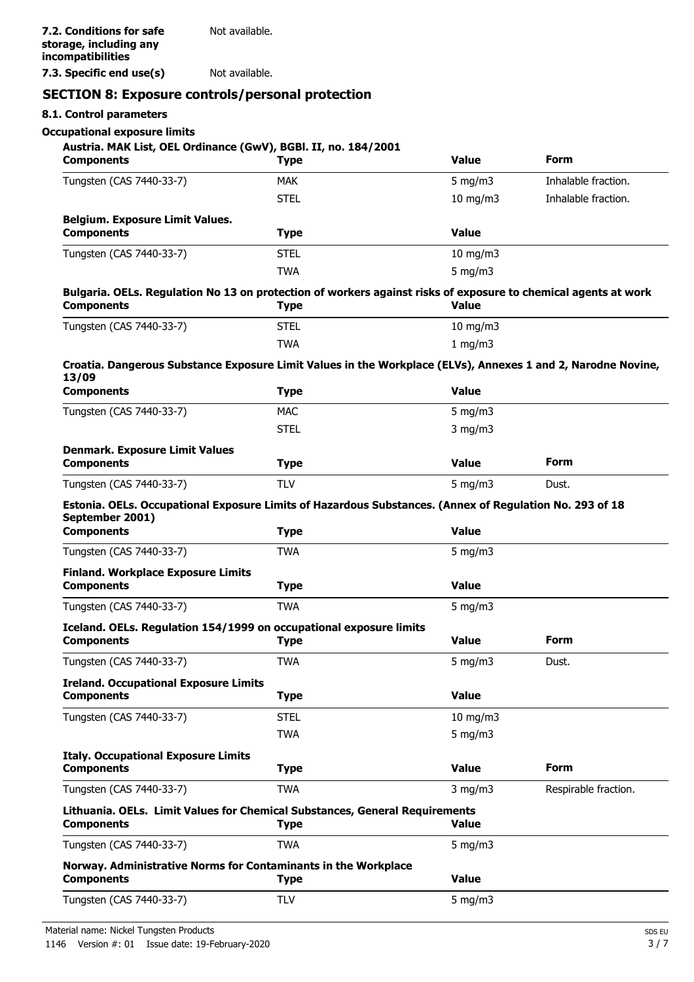**7.3. Specific end use(s)** Not available.

### **SECTION 8: Exposure controls/personal protection**

### **8.1. Control parameters**

### **Occupational exposure limits**

| Austria. MAK List, OEL Ordinance (GwV), BGBl. II, no. 184/2001<br><b>Components</b>                                                             | <b>Type</b> | <b>Value</b>  | <b>Form</b>          |
|-------------------------------------------------------------------------------------------------------------------------------------------------|-------------|---------------|----------------------|
| Tungsten (CAS 7440-33-7)                                                                                                                        | <b>MAK</b>  | 5 mg/m $3$    | Inhalable fraction.  |
|                                                                                                                                                 | <b>STEL</b> | $10$ mg/m $3$ | Inhalable fraction.  |
| <b>Belgium. Exposure Limit Values.</b><br><b>Components</b>                                                                                     | <b>Type</b> | <b>Value</b>  |                      |
| Tungsten (CAS 7440-33-7)                                                                                                                        | <b>STEL</b> | 10 mg/m3      |                      |
|                                                                                                                                                 | <b>TWA</b>  | 5 mg/m $3$    |                      |
| Bulgaria. OELs. Regulation No 13 on protection of workers against risks of exposure to chemical agents at work<br><b>Components</b>             | <b>Type</b> | <b>Value</b>  |                      |
| Tungsten (CAS 7440-33-7)                                                                                                                        | <b>STEL</b> | $10$ mg/m $3$ |                      |
|                                                                                                                                                 | <b>TWA</b>  | 1 mg/m3       |                      |
| Croatia. Dangerous Substance Exposure Limit Values in the Workplace (ELVs), Annexes 1 and 2, Narodne Novine,<br>13/09                           |             |               |                      |
| <b>Components</b>                                                                                                                               | <b>Type</b> | <b>Value</b>  |                      |
| Tungsten (CAS 7440-33-7)                                                                                                                        | <b>MAC</b>  | $5$ mg/m $3$  |                      |
|                                                                                                                                                 | <b>STEL</b> | $3$ mg/m $3$  |                      |
| <b>Denmark. Exposure Limit Values</b><br><b>Components</b>                                                                                      | <b>Type</b> | <b>Value</b>  | Form                 |
| Tungsten (CAS 7440-33-7)                                                                                                                        | <b>TLV</b>  | $5$ mg/m $3$  | Dust.                |
| Estonia. OELs. Occupational Exposure Limits of Hazardous Substances. (Annex of Regulation No. 293 of 18<br>September 2001)<br><b>Components</b> | <b>Type</b> | <b>Value</b>  |                      |
| Tungsten (CAS 7440-33-7)                                                                                                                        | <b>TWA</b>  | $5$ mg/m $3$  |                      |
| <b>Finland. Workplace Exposure Limits</b><br><b>Components</b>                                                                                  | <b>Type</b> | <b>Value</b>  |                      |
| Tungsten (CAS 7440-33-7)                                                                                                                        | <b>TWA</b>  | 5 mg/m $3$    |                      |
| Iceland. OELs. Regulation 154/1999 on occupational exposure limits<br><b>Components</b>                                                         | <b>Type</b> | <b>Value</b>  | <b>Form</b>          |
| Tungsten (CAS 7440-33-7)                                                                                                                        | TWA         | 5 mg/m $3$    | Dust.                |
| <b>Ireland. Occupational Exposure Limits</b><br><b>Components</b>                                                                               | <b>Type</b> | <b>Value</b>  |                      |
| Tungsten (CAS 7440-33-7)                                                                                                                        | <b>STEL</b> | $10$ mg/m $3$ |                      |
|                                                                                                                                                 | <b>TWA</b>  | 5 mg/m $3$    |                      |
| <b>Italy. Occupational Exposure Limits</b><br><b>Components</b>                                                                                 | <b>Type</b> | <b>Value</b>  | <b>Form</b>          |
| Tungsten (CAS 7440-33-7)                                                                                                                        | <b>TWA</b>  | $3$ mg/m $3$  | Respirable fraction. |
| Lithuania. OELs. Limit Values for Chemical Substances, General Requirements<br><b>Components</b>                                                | <b>Type</b> | <b>Value</b>  |                      |
| Tungsten (CAS 7440-33-7)                                                                                                                        | <b>TWA</b>  | 5 mg/m $3$    |                      |
| Norway. Administrative Norms for Contaminants in the Workplace<br><b>Components</b>                                                             | <b>Type</b> | <b>Value</b>  |                      |
| Tungsten (CAS 7440-33-7)                                                                                                                        | <b>TLV</b>  | 5 mg/m $3$    |                      |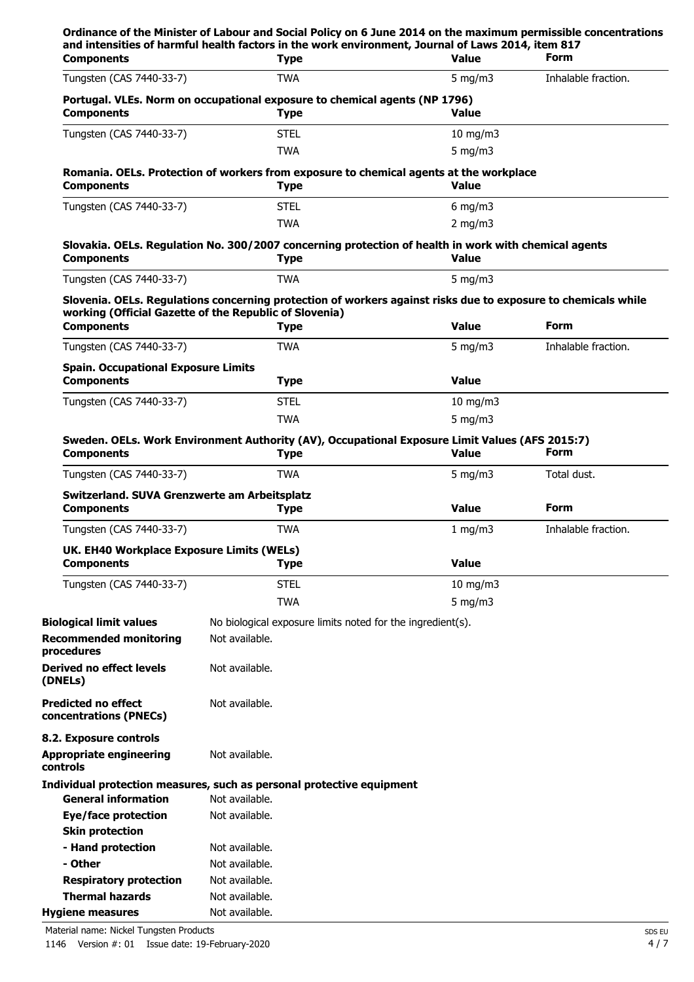|                                                                                                                |                                                                       | <b>Value</b>                                                                                                                                                                                                                                                                                                                                                                                                                                                                  | <b>Form</b>                                                                                                                                                                                                                                                                                                                                                                                                                                                                                                                                                                                                                                                                                                       |
|----------------------------------------------------------------------------------------------------------------|-----------------------------------------------------------------------|-------------------------------------------------------------------------------------------------------------------------------------------------------------------------------------------------------------------------------------------------------------------------------------------------------------------------------------------------------------------------------------------------------------------------------------------------------------------------------|-------------------------------------------------------------------------------------------------------------------------------------------------------------------------------------------------------------------------------------------------------------------------------------------------------------------------------------------------------------------------------------------------------------------------------------------------------------------------------------------------------------------------------------------------------------------------------------------------------------------------------------------------------------------------------------------------------------------|
|                                                                                                                |                                                                       | 5 mg/m $3$                                                                                                                                                                                                                                                                                                                                                                                                                                                                    | Inhalable fraction.                                                                                                                                                                                                                                                                                                                                                                                                                                                                                                                                                                                                                                                                                               |
|                                                                                                                |                                                                       | <b>Value</b>                                                                                                                                                                                                                                                                                                                                                                                                                                                                  |                                                                                                                                                                                                                                                                                                                                                                                                                                                                                                                                                                                                                                                                                                                   |
|                                                                                                                |                                                                       | $10$ mg/m $3$                                                                                                                                                                                                                                                                                                                                                                                                                                                                 |                                                                                                                                                                                                                                                                                                                                                                                                                                                                                                                                                                                                                                                                                                                   |
|                                                                                                                |                                                                       | 5 mg/m $3$                                                                                                                                                                                                                                                                                                                                                                                                                                                                    |                                                                                                                                                                                                                                                                                                                                                                                                                                                                                                                                                                                                                                                                                                                   |
|                                                                                                                |                                                                       | <b>Value</b>                                                                                                                                                                                                                                                                                                                                                                                                                                                                  |                                                                                                                                                                                                                                                                                                                                                                                                                                                                                                                                                                                                                                                                                                                   |
|                                                                                                                |                                                                       | $6$ mg/m $3$                                                                                                                                                                                                                                                                                                                                                                                                                                                                  |                                                                                                                                                                                                                                                                                                                                                                                                                                                                                                                                                                                                                                                                                                                   |
|                                                                                                                |                                                                       | 2 mg/m $3$                                                                                                                                                                                                                                                                                                                                                                                                                                                                    |                                                                                                                                                                                                                                                                                                                                                                                                                                                                                                                                                                                                                                                                                                                   |
|                                                                                                                |                                                                       | <b>Value</b>                                                                                                                                                                                                                                                                                                                                                                                                                                                                  |                                                                                                                                                                                                                                                                                                                                                                                                                                                                                                                                                                                                                                                                                                                   |
|                                                                                                                |                                                                       | 5 mg/m $3$                                                                                                                                                                                                                                                                                                                                                                                                                                                                    |                                                                                                                                                                                                                                                                                                                                                                                                                                                                                                                                                                                                                                                                                                                   |
|                                                                                                                |                                                                       | <b>Value</b>                                                                                                                                                                                                                                                                                                                                                                                                                                                                  | <b>Form</b>                                                                                                                                                                                                                                                                                                                                                                                                                                                                                                                                                                                                                                                                                                       |
|                                                                                                                |                                                                       |                                                                                                                                                                                                                                                                                                                                                                                                                                                                               | Inhalable fraction.                                                                                                                                                                                                                                                                                                                                                                                                                                                                                                                                                                                                                                                                                               |
|                                                                                                                |                                                                       | <b>Value</b>                                                                                                                                                                                                                                                                                                                                                                                                                                                                  |                                                                                                                                                                                                                                                                                                                                                                                                                                                                                                                                                                                                                                                                                                                   |
|                                                                                                                |                                                                       | $10$ mg/m $3$                                                                                                                                                                                                                                                                                                                                                                                                                                                                 |                                                                                                                                                                                                                                                                                                                                                                                                                                                                                                                                                                                                                                                                                                                   |
|                                                                                                                |                                                                       | 5 mg/m $3$                                                                                                                                                                                                                                                                                                                                                                                                                                                                    |                                                                                                                                                                                                                                                                                                                                                                                                                                                                                                                                                                                                                                                                                                                   |
|                                                                                                                |                                                                       | <b>Value</b>                                                                                                                                                                                                                                                                                                                                                                                                                                                                  | <b>Form</b>                                                                                                                                                                                                                                                                                                                                                                                                                                                                                                                                                                                                                                                                                                       |
|                                                                                                                |                                                                       | 5 mg/m $3$                                                                                                                                                                                                                                                                                                                                                                                                                                                                    | Total dust.                                                                                                                                                                                                                                                                                                                                                                                                                                                                                                                                                                                                                                                                                                       |
|                                                                                                                |                                                                       | <b>Value</b>                                                                                                                                                                                                                                                                                                                                                                                                                                                                  | <b>Form</b>                                                                                                                                                                                                                                                                                                                                                                                                                                                                                                                                                                                                                                                                                                       |
|                                                                                                                |                                                                       | 1 mg/m3                                                                                                                                                                                                                                                                                                                                                                                                                                                                       | Inhalable fraction.                                                                                                                                                                                                                                                                                                                                                                                                                                                                                                                                                                                                                                                                                               |
|                                                                                                                |                                                                       | <b>Value</b>                                                                                                                                                                                                                                                                                                                                                                                                                                                                  |                                                                                                                                                                                                                                                                                                                                                                                                                                                                                                                                                                                                                                                                                                                   |
|                                                                                                                |                                                                       |                                                                                                                                                                                                                                                                                                                                                                                                                                                                               |                                                                                                                                                                                                                                                                                                                                                                                                                                                                                                                                                                                                                                                                                                                   |
|                                                                                                                |                                                                       |                                                                                                                                                                                                                                                                                                                                                                                                                                                                               |                                                                                                                                                                                                                                                                                                                                                                                                                                                                                                                                                                                                                                                                                                                   |
|                                                                                                                |                                                                       |                                                                                                                                                                                                                                                                                                                                                                                                                                                                               |                                                                                                                                                                                                                                                                                                                                                                                                                                                                                                                                                                                                                                                                                                                   |
| Not available.                                                                                                 |                                                                       |                                                                                                                                                                                                                                                                                                                                                                                                                                                                               |                                                                                                                                                                                                                                                                                                                                                                                                                                                                                                                                                                                                                                                                                                                   |
| Not available.                                                                                                 |                                                                       |                                                                                                                                                                                                                                                                                                                                                                                                                                                                               |                                                                                                                                                                                                                                                                                                                                                                                                                                                                                                                                                                                                                                                                                                                   |
|                                                                                                                |                                                                       |                                                                                                                                                                                                                                                                                                                                                                                                                                                                               |                                                                                                                                                                                                                                                                                                                                                                                                                                                                                                                                                                                                                                                                                                                   |
| Not available.                                                                                                 |                                                                       |                                                                                                                                                                                                                                                                                                                                                                                                                                                                               |                                                                                                                                                                                                                                                                                                                                                                                                                                                                                                                                                                                                                                                                                                                   |
|                                                                                                                |                                                                       |                                                                                                                                                                                                                                                                                                                                                                                                                                                                               |                                                                                                                                                                                                                                                                                                                                                                                                                                                                                                                                                                                                                                                                                                                   |
| Not available.                                                                                                 |                                                                       |                                                                                                                                                                                                                                                                                                                                                                                                                                                                               |                                                                                                                                                                                                                                                                                                                                                                                                                                                                                                                                                                                                                                                                                                                   |
|                                                                                                                | Individual protection measures, such as personal protective equipment |                                                                                                                                                                                                                                                                                                                                                                                                                                                                               |                                                                                                                                                                                                                                                                                                                                                                                                                                                                                                                                                                                                                                                                                                                   |
| Not available.                                                                                                 |                                                                       |                                                                                                                                                                                                                                                                                                                                                                                                                                                                               |                                                                                                                                                                                                                                                                                                                                                                                                                                                                                                                                                                                                                                                                                                                   |
| Not available.                                                                                                 |                                                                       |                                                                                                                                                                                                                                                                                                                                                                                                                                                                               |                                                                                                                                                                                                                                                                                                                                                                                                                                                                                                                                                                                                                                                                                                                   |
| Not available.                                                                                                 |                                                                       |                                                                                                                                                                                                                                                                                                                                                                                                                                                                               |                                                                                                                                                                                                                                                                                                                                                                                                                                                                                                                                                                                                                                                                                                                   |
| Not available.                                                                                                 |                                                                       |                                                                                                                                                                                                                                                                                                                                                                                                                                                                               |                                                                                                                                                                                                                                                                                                                                                                                                                                                                                                                                                                                                                                                                                                                   |
| Not available.<br>Not available.                                                                               |                                                                       |                                                                                                                                                                                                                                                                                                                                                                                                                                                                               |                                                                                                                                                                                                                                                                                                                                                                                                                                                                                                                                                                                                                                                                                                                   |
| Ordinance of the Minister of Labour and Social Policy on 6 June 2014 on the maximum permissible concentrations | <b>Spain. Occupational Exposure Limits</b>                            | <b>Type</b><br><b>TWA</b><br><b>Type</b><br><b>STEL</b><br><b>TWA</b><br><b>Type</b><br><b>STEL</b><br><b>TWA</b><br><b>Type</b><br><b>TWA</b><br>working (Official Gazette of the Republic of Slovenia)<br><b>Type</b><br><b>TWA</b><br><b>Type</b><br><b>STEL</b><br><b>TWA</b><br><b>Type</b><br>TWA<br>Switzerland. SUVA Grenzwerte am Arbeitsplatz<br><b>Type</b><br><b>TWA</b><br>UK. EH40 Workplace Exposure Limits (WELs)<br><b>Type</b><br><b>STEL</b><br><b>TWA</b> | and intensities of harmful health factors in the work environment, Journal of Laws 2014, item 817<br>Portugal. VLEs. Norm on occupational exposure to chemical agents (NP 1796)<br>Romania. OELs. Protection of workers from exposure to chemical agents at the workplace<br>Slovakia. OELs. Regulation No. 300/2007 concerning protection of health in work with chemical agents<br>Slovenia. OELs. Regulations concerning protection of workers against risks due to exposure to chemicals while<br>5 mg/m $3$<br>Sweden. OELs. Work Environment Authority (AV), Occupational Exposure Limit Values (AFS 2015:7)<br>$10$ mg/m $3$<br>$5$ mg/m $3$<br>No biological exposure limits noted for the ingredient(s). |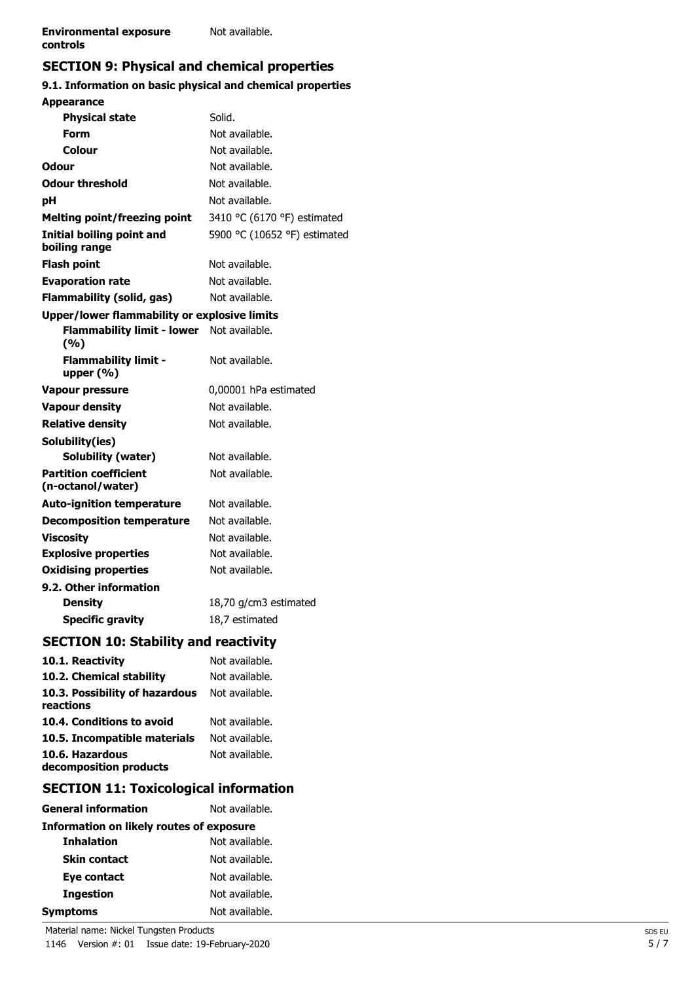# **SECTION 9: Physical and chemical properties**

## **9.1. Information on basic physical and chemical properties**

| <b>Appearance</b>                                 |                              |
|---------------------------------------------------|------------------------------|
| <b>Physical state</b>                             | Solid.                       |
| Form                                              | Not available.               |
| Colour                                            | Not available.               |
| Odour                                             | Not available.               |
| <b>Odour threshold</b>                            | Not available.               |
| рH                                                | Not available.               |
| <b>Melting point/freezing point</b>               | 3410 °C (6170 °F) estimated  |
| <b>Initial boiling point and</b><br>boiling range | 5900 °C (10652 °F) estimated |
| <b>Flash point</b>                                | Not available.               |
| <b>Evaporation rate</b>                           | Not available.               |
| <b>Flammability (solid, gas)</b>                  | Not available.               |
| Upper/lower flammability or explosive limits      |                              |
| <b>Flammability limit - lower</b><br>(%)          | Not available.               |
| <b>Flammability limit -</b><br>upper $(% )$       | Not available.               |
| <b>Vapour pressure</b>                            | 0,00001 hPa estimated        |
| <b>Vapour density</b>                             | Not available.               |
| <b>Relative density</b>                           | Not available.               |
| Solubility(ies)                                   |                              |
| Solubility (water)                                | Not available.               |
| <b>Partition coefficient</b><br>(n-octanol/water) | Not available.               |
| <b>Auto-ignition temperature</b>                  | Not available.               |
| <b>Decomposition temperature</b>                  | Not available.               |
| <b>Viscosity</b>                                  | Not available.               |
| <b>Explosive properties</b>                       | Not available.               |
| <b>Oxidising properties</b>                       | Not available.               |
| 9.2. Other information                            |                              |
| <b>Density</b>                                    | 18,70 g/cm3 estimated        |
| <b>Specific gravity</b>                           | 18,7 estimated               |
| <b>SECTION 10: Stability and reactivity</b>       |                              |
| 10.1. Reactivity                                  | Not available.               |
| 10.2. Chemical stability                          | Not available.               |
| 10.3. Possibility of hazardous<br>reactions       | Not available.               |
| 10.4. Conditions to avoid                         | Not available.               |
| 10.5. Incompatible materials                      | Not available.               |
| 10.6. Hazardous<br>decomposition products         | Not available.               |
|                                                   |                              |

# **SECTION 11: Toxicological information**

| <b>General information</b>                      | Not available. |  |
|-------------------------------------------------|----------------|--|
| <b>Information on likely routes of exposure</b> |                |  |
| <b>Inhalation</b>                               | Not available. |  |
| <b>Skin contact</b>                             | Not available. |  |
| Eye contact                                     | Not available. |  |
| <b>Ingestion</b>                                | Not available. |  |
| Symptoms                                        | Not available. |  |

Material name: Nickel Tungsten Products SDS EU

1146 Version #: 01 Issue date: 19-February-2020 5/7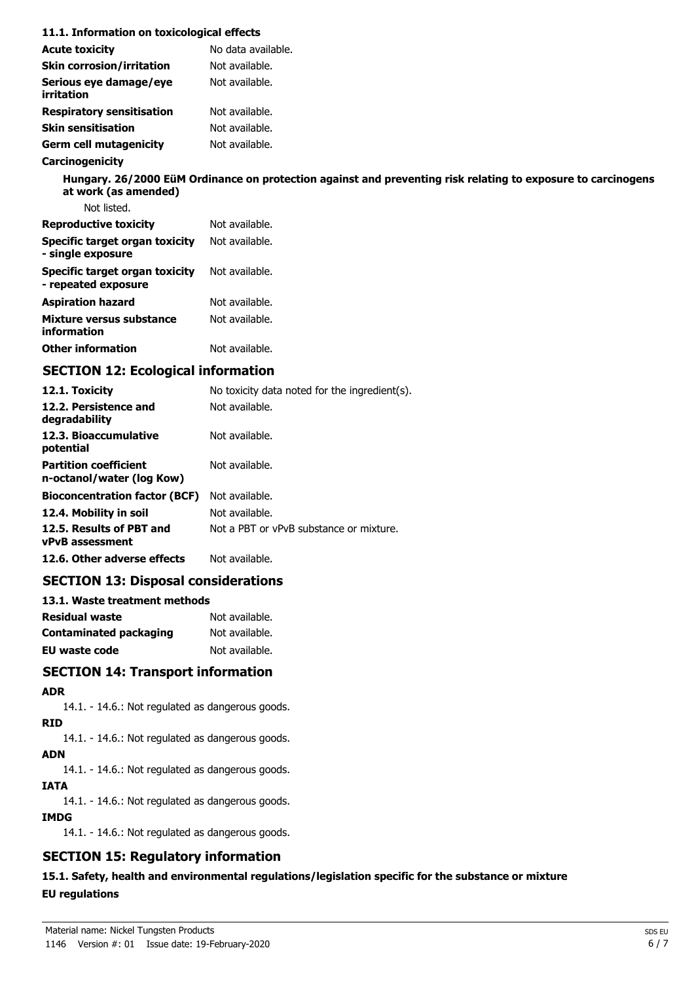| 11.1. Information on toxicological effects            |                                                                                                              |
|-------------------------------------------------------|--------------------------------------------------------------------------------------------------------------|
| <b>Acute toxicity</b>                                 | No data available.                                                                                           |
| <b>Skin corrosion/irritation</b>                      | Not available.                                                                                               |
| Serious eye damage/eye<br>irritation                  | Not available.                                                                                               |
| <b>Respiratory sensitisation</b>                      | Not available.                                                                                               |
| <b>Skin sensitisation</b>                             | Not available.                                                                                               |
| <b>Germ cell mutagenicity</b>                         | Not available.                                                                                               |
| Carcinogenicity                                       |                                                                                                              |
| at work (as amended)                                  | Hungary. 26/2000 EüM Ordinance on protection against and preventing risk relating to exposure to carcinogens |
| Not listed.                                           |                                                                                                              |
| <b>Reproductive toxicity</b>                          | Not available.                                                                                               |
| Specific target organ toxicity<br>- single exposure   | Not available.                                                                                               |
| Specific target organ toxicity<br>- repeated exposure | Not available.                                                                                               |
| <b>Aspiration hazard</b>                              | Not available.                                                                                               |
| Mixture versus substance<br>information               | Not available.                                                                                               |
| <b>Other information</b>                              | Not available.                                                                                               |
| <b>SECTION 12: Ecological information</b>             |                                                                                                              |
| 12.1. Toxicity                                        | No toxicity data noted for the ingredient(s).                                                                |
| 12.2. Persistence and<br>degradability                | Not available.                                                                                               |
| 12.3. Bioaccumulative                                 | Not available.                                                                                               |

| potential                                                 |                                         |
|-----------------------------------------------------------|-----------------------------------------|
| <b>Partition coefficient</b><br>n-octanol/water (log Kow) | Not available.                          |
| <b>Bioconcentration factor (BCF)</b>                      | Not available.                          |
| 12.4. Mobility in soil                                    | Not available.                          |
| 12.5. Results of PBT and<br><b>vPvB</b> assessment        | Not a PBT or vPvB substance or mixture. |
| 12.6. Other adverse effects                               | Not available.                          |

## **SECTION 13: Disposal considerations**

| 13.1. Waste treatment methods |                |  |
|-------------------------------|----------------|--|
| <b>Residual waste</b>         | Not available. |  |
| Contaminated packaging        | Not available. |  |
| <b>EU waste code</b>          | Not available. |  |

### **SECTION 14: Transport information**

**ADR**

14.1. - 14.6.: Not regulated as dangerous goods.

**RID**

14.1. - 14.6.: Not regulated as dangerous goods.

**ADN**

14.1. - 14.6.: Not regulated as dangerous goods.

**IATA**

14.1. - 14.6.: Not regulated as dangerous goods.

### **IMDG**

14.1. - 14.6.: Not regulated as dangerous goods.

## **SECTION 15: Regulatory information**

**15.1. Safety, health and environmental regulations/legislation specific for the substance or mixture EU regulations**